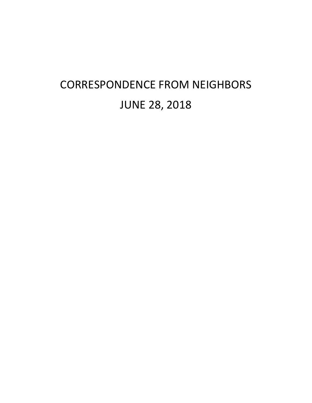## CORRESPONDENCE FROM NEIGHBORS JUNE 28, 2018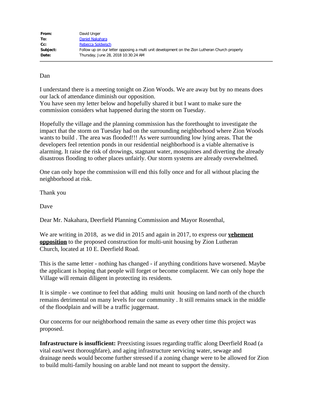| David Unger                                                                                    |
|------------------------------------------------------------------------------------------------|
| Daniel Nakahara                                                                                |
| Rebecca Soldwisch                                                                              |
| Follow up on our letter opposing a multi unit development on the Zion Lutheran Church property |
| Thursday, June 28, 2018 10:30:24 AM                                                            |
|                                                                                                |

Dan

I understand there is a meeting tonight on Zion Woods. We are away but by no means does our lack of attendance diminish our opposition.

You have seen my letter below and hopefully shared it but I want to make sure the commission considers what happened during the storm on Tuesday.

Hopefully the village and the planning commission has the forethought to investigate the impact that the storm on Tuesday had on the surrounding neighborhood where Zion Woods wants to build . The area was flooded!!! As were surrounding low lying areas. That the developers feel retention ponds in our residential neighborhood is a viable alternative is alarming. It raise the risk of drowings, stagnant water, mosquitoes and diverting the already disastrous flooding to other places unfairly. Our storm systems are already overwhelmed.

One can only hope the commission will end this folly once and for all without placing the neighborhood at risk.

Thank you

Dave

Dear Mr. Nakahara, Deerfield Planning Commission and Mayor Rosenthal,

We are writing in 2018, as we did in 2015 and again in 2017, to express our **vehement opposition** to the proposed construction for multi-unit housing by Zion Lutheran Church, located at 10 E. Deerfield Road.

This is the same letter - nothing has changed - if anything conditions have worsened. Maybe the applicant is hoping that people will forget or become complacent. We can only hope the Village will remain diligent in protecting its residents.

It is simple - we continue to feel that adding multi unit housing on land north of the church remains detrimental on many levels for our community . It still remains smack in the middle of the floodplain and will be a traffic juggernaut.

Our concerns for our neighborhood remain the same as every other time this project was proposed.

**Infrastructure is insufficient:** Preexisting issues regarding traffic along Deerfield Road (a vital east/west thoroughfare), and aging infrastructure servicing water, sewage and drainage needs would become further stressed if a zoning change were to be allowed for Zion to build multi-family housing on arable land not meant to support the density.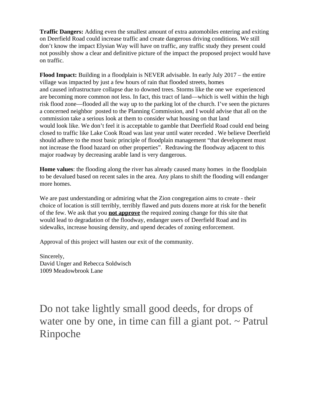**Traffic Dangers:** Adding even the smallest amount of extra automobiles entering and exiting on Deerfield Road could increase traffic and create dangerous driving conditions. We still don't know the impact Elysian Way will have on traffic, any traffic study they present could not possibly show a clear and definitive picture of the impact the proposed project would have on traffic.

**Flood Impact:** Building in a floodplain is NEVER advisable. In early July 2017 – the entire village was impacted by just a few hours of rain that flooded streets, homes and caused infrastructure collapse due to downed trees. Storms like the one we experienced are becoming more common not less. In fact, this tract of land—which is well within the high risk flood zone—flooded all the way up to the parking lot of the church. I've seen the pictures a concerned neighbor posted to the Planning Commission, and I would advise that all on the commission take a serious look at them to consider what housing on that land would look like. We don't feel it is acceptable to gamble that Deerfield Road could end being closed to traffic like Lake Cook Road was last year until water receded . We believe Deerfield should adhere to the most basic principle of floodplain management "that development must not increase the flood hazard on other properties". Redrawing the floodway adjacent to this major roadway by decreasing arable land is very dangerous.

**Home values**: the flooding along the river has already caused many homes in the floodplain to be devalued based on recent sales in the area. Any plans to shift the flooding will endanger more homes.

We are past understanding or admiring what the Zion congregation aims to create - their choice of location is still terribly, terribly flawed and puts dozens more at risk for the benefit of the few. We ask that you **not approve** the required zoning change for this site that would lead to degradation of the floodway, endanger users of Deerfield Road and its sidewalks, increase housing density, and upend decades of zoning enforcement.

Approval of this project will hasten our exit of the community.

Sincerely, David Unger and Rebecca Soldwisch 1009 Meadowbrook Lane

Do not take lightly small good deeds, for drops of water one by one, in time can fill a giant pot.  $\sim$  Patrul Rinpoche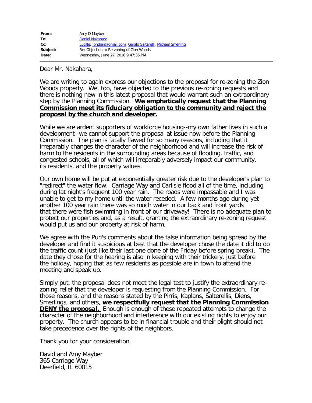| From:    | Amy D Mayber                                                    |
|----------|-----------------------------------------------------------------|
| To:      | Daniel Nakahara                                                 |
| cc:      | Lucille; jondien@gmail.com; Gerald Saltarelli; Michael Smerling |
| Subject: | Re: Objection to Re-zoning of Zion Woods                        |
| Date:    | Wednesday, June 27, 2018 9:47:36 PM                             |

Dear Mr. Nakahara,

We are writing to again express our objections to the proposal for re-zoning the Zion Woods property. We, too, have objected to the previous re-zoning requests and there is nothing new in this latest proposal that would warrant such an extraordinary step by the Planning Commission. **We emphatically request that the Planning Commission meet its fiduciary obligation to the community and reject the proposal by the church and developer.**

While we are ardent supporters of workforce housing--my own father lives in such a development--we cannot support the proposal at issue now before the Planning Commission. The plan is fatally flawed for so many reasons, including that it irreparably changes the character of the neighborhood and will increase the risk of harm to the residents in the surrounding areas because of flooding, traffic, and congested schools, all of which will irreparably adversely impact our community, its residents, and the property values.

Our own home will be put at exponentially greater risk due to the developer's plan to "redirect" the water flow. Carriage Way and Carlisle flood all of the time, including during lat night's frequent 100 year rain. The roads were impassable and I was unable to get to my home until the water receded. A few months ago during yet another 100 year rain there was so much water in our back and front yards that there were fish swimming in front of our driveway! There is no adequate plan to protect our properties and, as a result, granting the extraordinary re-zoning request would put us and our property at risk of harm.

We agree with the Puri's comments about the false information being spread by the developer and find it suspicious at best that the developer chose the date it did to do the traffic count (just like their last one done of the Friday before spring break). The date they chose for the hearing is also in keeping with their trickery, just before the holiday, hoping that as few residents as possible are in town to attend the meeting and speak up.

Simply put, the proposal does not meet the legal test to justify the extraordinary rezoning relief that the developer is requesting from the Planning Commission. For those reasons, and the reasons stated by the Pirris, Kaplans, Salterellis, Diens, Smerlings, and others, **we respectfully request that the Planning Commission DENY the proposal.** Enough is enough of these repeated attempts to change the character of the neighborhood and interference with our existing rights to enjoy our property. The church appears to be in financial trouble and their plight should not take precedence over the rights of the neighbors.

Thank you for your consideration,

David and Amy Mayber 365 Carriage Way Deerfield, IL 60015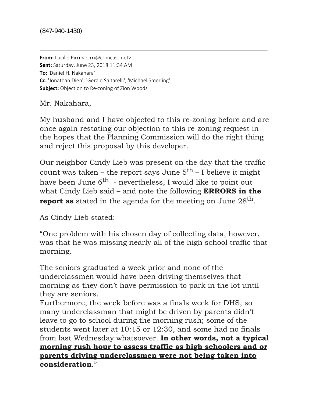**From:** Lucille Pirri <lpirri@comcast.net> **Sent:** Saturday, June 23, 2018 11:34 AM **To:** 'Daniel H. Nakahara' **Cc:** 'Jonathan Dien'; 'Gerald Saltarelli'; 'Michael Smerling' **Subject:** Objection to Re-zoning of Zion Woods

Mr. Nakahara,

My husband and I have objected to this re-zoning before and are once again restating our objection to this re-zoning request in the hopes that the Planning Commission will do the right thing and reject this proposal by this developer.

Our neighbor Cindy Lieb was present on the day that the traffic count was taken – the report says June  $5<sup>th</sup>$  – I believe it might have been June  $6^{th}$  - nevertheless. I would like to point out what Cindy Lieb said – and note the following **ERRORS in the report as** stated in the agenda for the meeting on June 28<sup>th</sup>.

As Cindy Lieb stated:

"One problem with his chosen day of collecting data, however, was that he was missing nearly all of the high school traffic that morning.

The seniors graduated a week prior and none of the underclassmen would have been driving themselves that morning as they don't have permission to park in the lot until they are seniors.

Furthermore, the week before was a finals week for DHS, so many underclassman that might be driven by parents didn't leave to go to school during the morning rush; some of the students went later at 10:15 or 12:30, and some had no finals from last Wednesday whatsoever. **In other words, not a typical morning rush hour to assess traffic as high schoolers and or parents driving underclassmen were not being taken into consideration**."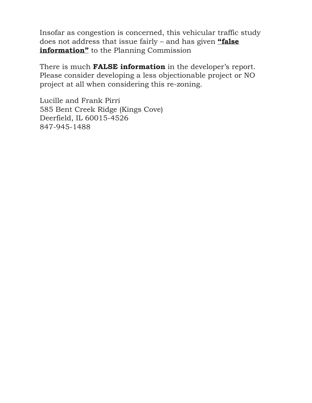Insofar as congestion is concerned, this vehicular traffic study does not address that issue fairly – and has given **"false information"** to the Planning Commission

There is much **FALSE information** in the developer's report. Please consider developing a less objectionable project or NO project at all when considering this re-zoning.

Lucille and Frank Pirri 585 Bent Creek Ridge (Kings Cove) Deerfield, IL 60015-4526 847-945-1488